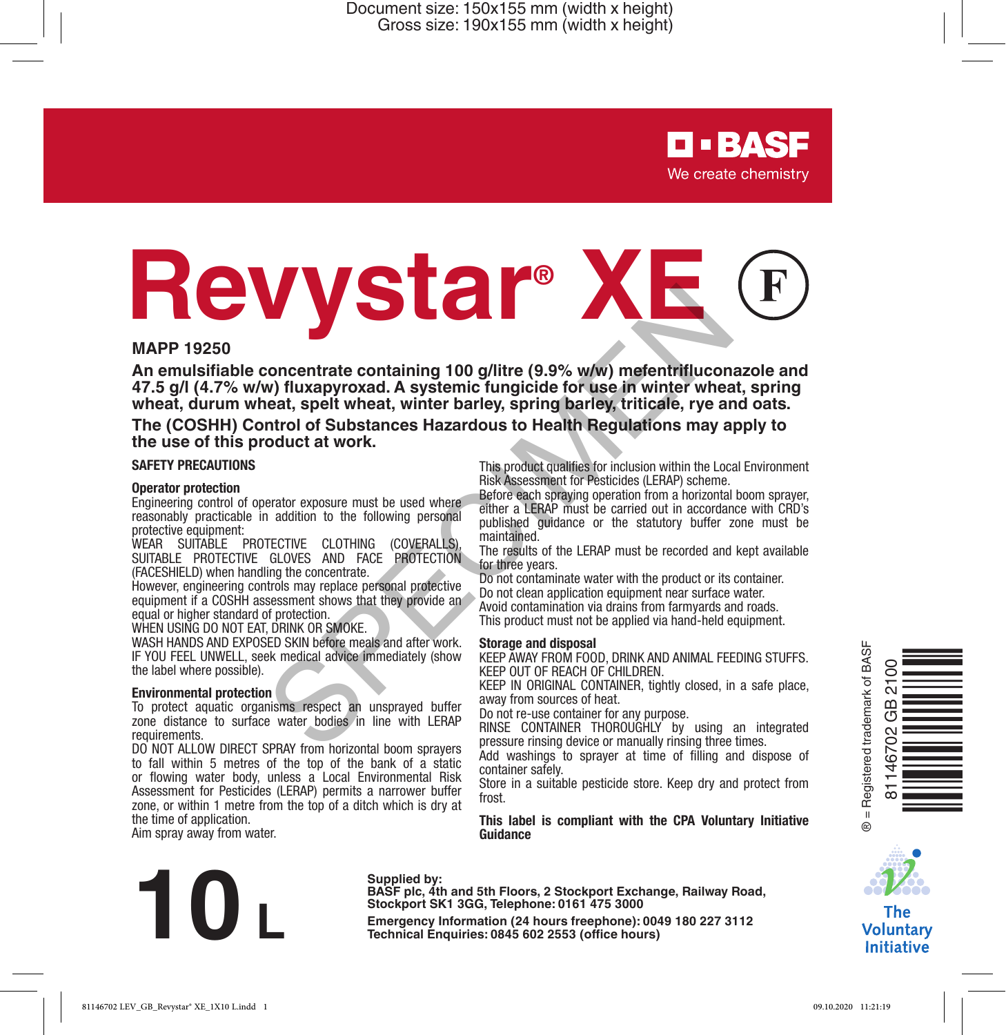Document size: 150x155 mm (width x height) Gross size: 190x155 mm (width x height)

# **D-BASF** We create chemistry

# **Revystar® XE EXERCUSE CONTRACTE CONTRACTES**<br> **EXERCUSE THE CONTRACTE CONTRACTE CONTRACTES (SPECIFY AND ANIMAL FEE (SPECIFY ASSEMBLE PROPRIET) AND AND ANIMAL FEE CONTRACTES (SPECIFY) And the specific contraction of Substances Hazardous**

#### **MAPP 19250**

**An emulsifiable concentrate containing 100 g/litre (9.9% w/w) mefentrifluconazole and 47.5 g/l (4.7% w/w) fluxapyroxad. A systemic fungicide for use in winter wheat, spring wheat, durum wheat, spelt wheat, winter barley, spring barley, triticale, rye and oats.**

**The (COSHH) Control of Substances Hazardous to Health Regulations may apply to the use of this product at work.**

#### **SAFETY PRECAUTIONS**

#### **Operator protection**

Engineering control of operator exposure must be used where reasonably practicable in addition to the following personal protective equipment:

WEAR SUITABLE PROTECTIVE CLOTHING (COVERALLS), SUITABLE PROTECTIVE GLOVES AND FACE PROTECTION (FACESHIELD) when handling the concentrate.

However, engineering controls may replace personal protective equipment if a COSHH assessment shows that they provide an equal or higher standard of protection.

WHEN USING DO NOT EAT, DRINK OR SMOKE.

WASH HANDS AND EXPOSED SKIN before meals and after work. IF YOU FEEL UNWELL, seek medical advice immediately (show the label where possible).

#### **Environmental protection**

To protect aquatic organisms respect an unsprayed buffer zone distance to surface water bodies in line with LERAP requirements.

DO NOT ALLOW DIRECT SPRAY from horizontal boom sprayers to fall within 5 metres of the top of the bank of a static or flowing water body, unless a Local Environmental Risk Assessment for Pesticides (LERAP) permits a narrower buffer zone, or within 1 metre from the top of a ditch which is dry at the time of application.

Aim spray away from water.

This product qualifies for inclusion within the Local Environment Risk Assessment for Pesticides (LERAP) scheme.

Before each spraying operation from a horizontal boom sprayer, either a LERAP must be carried out in accordance with CRD's published guidance or the statutory buffer zone must be maintained.

The results of the LERAP must be recorded and kept available for three years.

Do not contaminate water with the product or its container. Do not clean application equipment near surface water.

Avoid contamination via drains from farmyards and roads.

This product must not be applied via hand-held equipment.

#### **Storage and disposal**

KEEP AWAY FROM FOOD, DRINK AND ANIMAL FEEDING STUFFS. KEEP OUT OF REACH OF CHILDREN.

KEEP IN ORIGINAL CONTAINER, tightly closed, in a safe place, away from sources of heat.

Do not re-use container for any purpose.

RINSE CONTAINER THOROUGHLY by using an integrated pressure rinsing device or manually rinsing three times.

Add washings to sprayer at time of filling and dispose of container safely.

Store in a suitable pesticide store. Keep dry and protect from frost.

**This label is compliant with the CPA Voluntary Initiative Guidance**



#### **Supplied by:**

**BASF plc, 4th and 5th Floors, 2 Stockport Exchange, Railway Road, Stockport SK1 3GG, Telephone: 0161 475 3000**





The **Voluntary Initiative**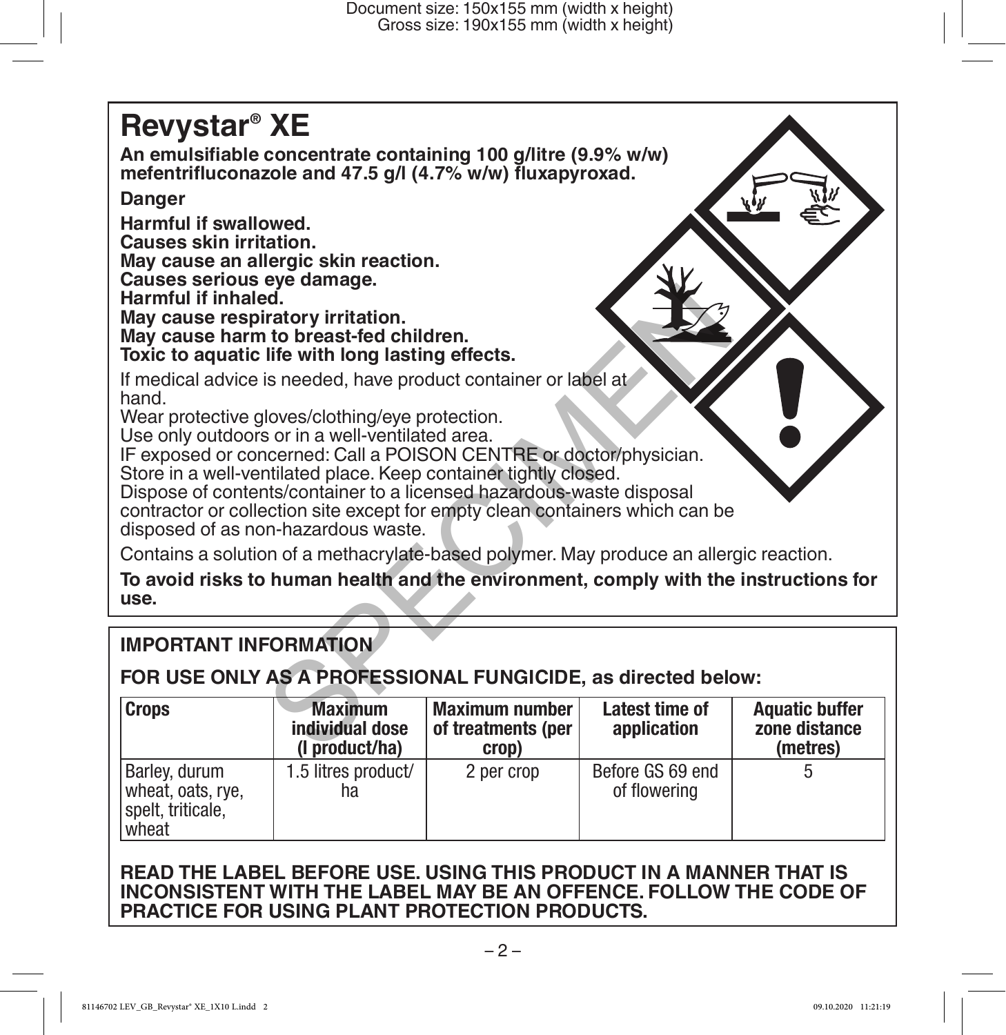# **Revystar® XE An emulsifiable concentrate containing 100 g/litre (9.9% w/w) mefentrifluconazole and 47.5 g/l (4.7% w/w) fluxapyroxad. Danger Harmful if swallowed. Causes skin irritation. May cause an allergic skin reaction. Causes serious eye damage. Harmful if inhaled. May cause respiratory irritation. May cause harm to breast-fed children. Toxic to aquatic life with long lasting effects.** If medical advice is needed, have product container or label at hand. Wear protective gloves/clothing/eye protection. Use only outdoors or in a well-ventilated area. IF exposed or concerned: Call a POISON CENTRE or doctor/physician. Store in a well-ventilated place. Keep container tightly closed. Dispose of contents/container to a licensed hazardous-waste disposal contractor or collection site except for empty clean containers which can be disposed of as non-hazardous waste. Contains a solution of a methacrylate-based polymer. May produce an allergic reaction. example:<br>
Intervitor irritation.<br>
Intervitor irritation.<br>
Is needed, have product container or label at<br>
loves/clothing/eye protection.<br>
Is or in a well-ventillated area.<br>
Intervitual POISON CENTRE or doctor/physician.<br>
In

**To avoid risks to human health and the environment, comply with the instructions for use.**

## **IMPORTANT INFORMATION**

### **FOR USE ONLY AS A PROFESSIONAL FUNGICIDE, as directed below:**

| <b>Crops</b>                                                     | <b>Maximum</b><br>individual dose<br>(I product/ha) | Maximum number<br>of treatments (per<br>crop) | Latest time of<br>application    | <b>Aquatic buffer</b><br>zone distance<br>(metres) |
|------------------------------------------------------------------|-----------------------------------------------------|-----------------------------------------------|----------------------------------|----------------------------------------------------|
| Barley, durum<br>wheat, oats, rye,<br>spelt, triticale,<br>wheat | 1.5 litres product/<br>ha                           | 2 per crop                                    | Before GS 69 end<br>of flowering |                                                    |

#### **READ THE LABEL BEFORE USE. USING THIS PRODUCT IN A MANNER THAT IS INCONSISTENT WITH THE LABEL MAY BE AN OFFENCE. FOLLOW THE CODE OF PRACTICE FOR USING PLANT PROTECTION PRODUCTS.**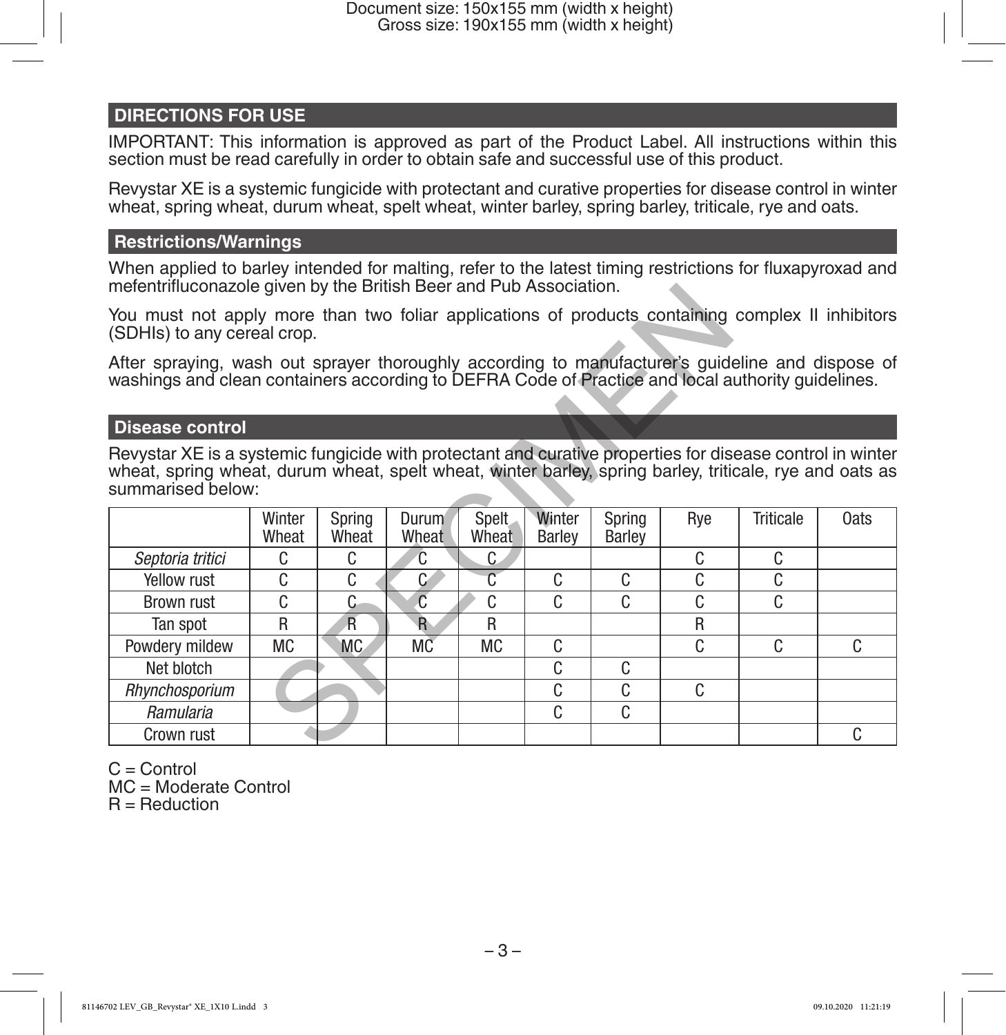#### **DIRECTIONS FOR USE**

IMPORTANT: This information is approved as part of the Product Label. All instructions within this section must be read carefully in order to obtain safe and successful use of this product.

Revystar XE is a systemic fungicide with protectant and curative properties for disease control in winter wheat, spring wheat, durum wheat, spelt wheat, winter barley, spring barley, triticale, rye and oats.

#### **Restrictions/Warnings**

When applied to barley intended for malting, refer to the latest timing restrictions for fluxapyroxad and mefentrifluconazole given by the British Beer and Pub Association.

#### **Disease control**

| <b>Disease control</b> |                         |                             |                |                  |                  |                                                                    |           |                                                                                                                                                                                                                                                                                                                                                                                                                                                                                                                                    |
|------------------------|-------------------------|-----------------------------|----------------|------------------|------------------|--------------------------------------------------------------------|-----------|------------------------------------------------------------------------------------------------------------------------------------------------------------------------------------------------------------------------------------------------------------------------------------------------------------------------------------------------------------------------------------------------------------------------------------------------------------------------------------------------------------------------------------|
| summarised below:      |                         |                             |                |                  |                  |                                                                    |           |                                                                                                                                                                                                                                                                                                                                                                                                                                                                                                                                    |
| Winter<br>Wheat        | Spring<br>Wheat         | Durum<br>Wheat              | Spelt<br>Wheat | Winter<br>Barley | Spring<br>Barley | Rye                                                                | Triticale | <b>Oats</b>                                                                                                                                                                                                                                                                                                                                                                                                                                                                                                                        |
| C.                     | C                       | C                           | C              |                  |                  | C                                                                  | C         |                                                                                                                                                                                                                                                                                                                                                                                                                                                                                                                                    |
| C                      | C                       | C                           | $\overline{C}$ | C.               | C                | C                                                                  | C         |                                                                                                                                                                                                                                                                                                                                                                                                                                                                                                                                    |
| C                      | C                       | C                           | C              | C                | C                | C                                                                  | C         |                                                                                                                                                                                                                                                                                                                                                                                                                                                                                                                                    |
| R                      | $\overline{\mathsf{R}}$ | $\mathbf{R}$                | R              |                  |                  | R                                                                  |           |                                                                                                                                                                                                                                                                                                                                                                                                                                                                                                                                    |
| МC                     | MC.                     | МC                          | МC             | C                |                  | C                                                                  | C         | C.                                                                                                                                                                                                                                                                                                                                                                                                                                                                                                                                 |
|                        |                         |                             |                | C                | C                |                                                                    |           |                                                                                                                                                                                                                                                                                                                                                                                                                                                                                                                                    |
|                        |                         |                             |                | C                | C                | C                                                                  |           |                                                                                                                                                                                                                                                                                                                                                                                                                                                                                                                                    |
|                        |                         |                             |                | C                | C                |                                                                    |           |                                                                                                                                                                                                                                                                                                                                                                                                                                                                                                                                    |
|                        |                         |                             |                |                  |                  |                                                                    |           | C                                                                                                                                                                                                                                                                                                                                                                                                                                                                                                                                  |
|                        |                         | (SDHIs) to any cereal crop. |                |                  |                  | melentrilluconazole qiven by the British Beer and Pub Association. |           | You must not apply more than two foliar applications of products containing complex II inhibitors<br>After spraying, wash out sprayer thoroughly according to manufacturer's guideline and dispose of<br>washings and clean containers according to DEFRA Code of Practice and local authority guidelines.<br>Revystar XE is a systemic fungicide with protectant and curative properties for disease control in winter<br>wheat, spring wheat, durum wheat, spelt wheat, winter barley, spring barley, triticale, rye and oats as |

 $C =$  Control MC = Moderate Control  $R =$  Reduction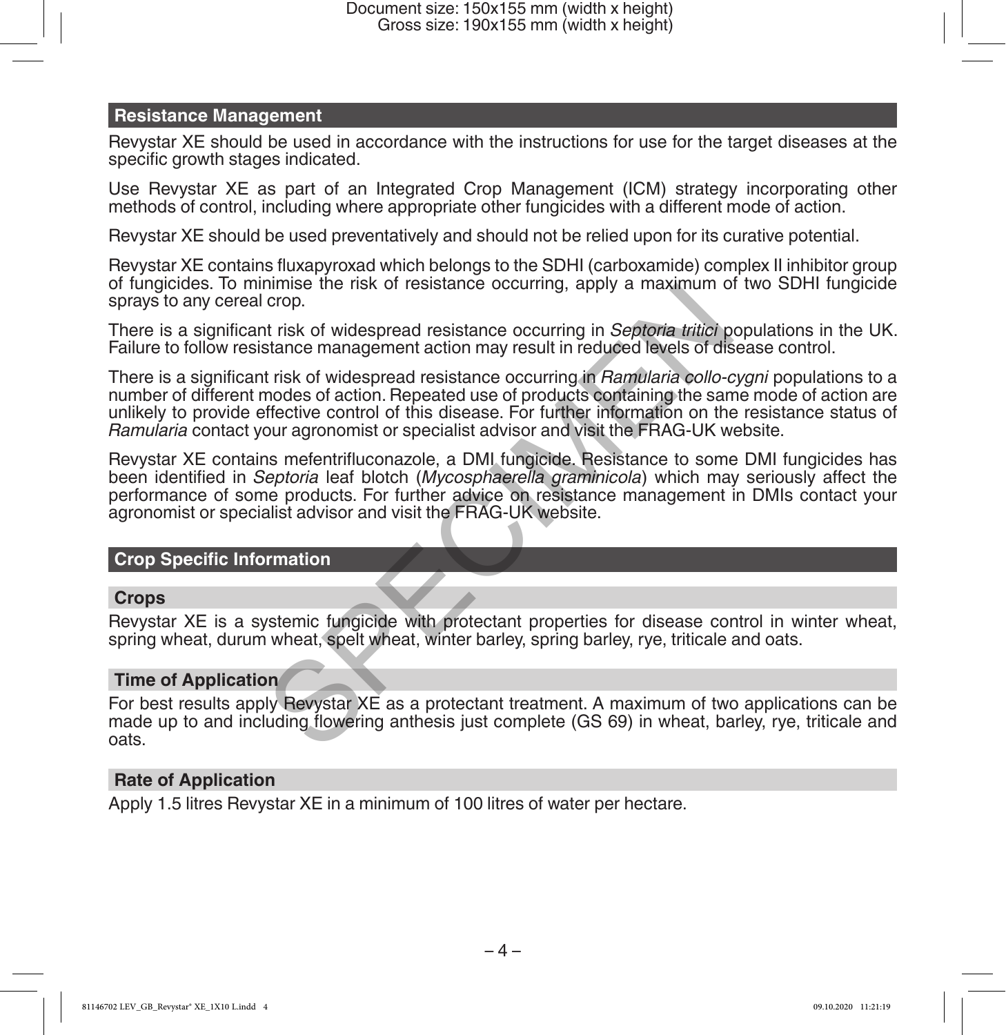#### **Resistance Management**

Revystar XE should be used in accordance with the instructions for use for the target diseases at the specific growth stages indicated.

Use Revystar XE as part of an Integrated Crop Management (ICM) strategy incorporating other methods of control, including where appropriate other fungicides with a different mode of action.

Revystar XE should be used preventatively and should not be relied upon for its curative potential.

Revystar XE contains fluxapyroxad which belongs to the SDHI (carboxamide) complex II inhibitor group of fungicides. To minimise the risk of resistance occurring, apply a maximum of two SDHI fungicide sprays to any cereal crop.

There is a significant risk of widespread resistance occurring in *Septoria tritici* populations in the UK. Failure to follow resistance management action may result in reduced levels of disease control.

There is a significant risk of widespread resistance occurring in *Ramularia collo-cygni* populations to a number of different modes of action. Repeated use of products containing the same mode of action are unlikely to provide effective control of this disease. For further information on the resistance status of *Ramularia* contact your agronomist or specialist advisor and visit the FRAG-UK website. Thinks the ISSN of resistance occurring, apply a maximum of crop.<br>
Septembent trisk of widespread resistance occurring in *Septoria tritici* p<br>
stance management action may result in reduced levels of dis<br>
trisk of widespr

Revystar XE contains mefentrifluconazole, a DMI fungicide. Resistance to some DMI fungicides has been identified in *Septoria* leaf blotch (*Mycosphaerella graminicola*) which may seriously affect the performance of some products. For further advice on resistance management in DMIs contact your agronomist or specialist advisor and visit the FRAG-UK website.

#### **Crop Specific Information**

#### **Crops**

Revystar XE is a systemic fungicide with protectant properties for disease control in winter wheat, spring wheat, durum wheat, spelt wheat, winter barley, spring barley, rye, triticale and oats.

#### **Time of Application**

For best results apply Revystar XE as a protectant treatment. A maximum of two applications can be made up to and including flowering anthesis just complete (GS 69) in wheat, barley, rye, triticale and oats.

#### **Rate of Application**

Apply 1.5 litres Revystar XE in a minimum of 100 litres of water per hectare.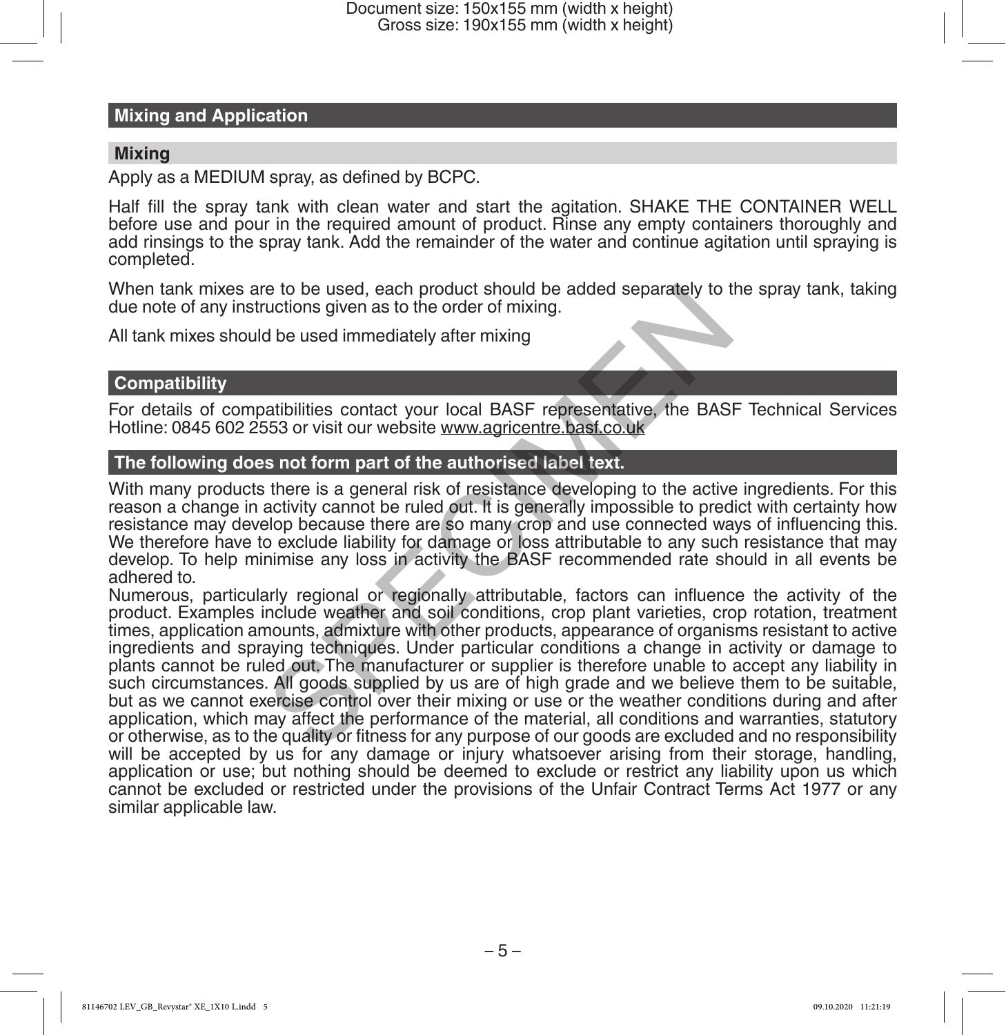#### **Mixing and Application**

#### **Mixing**

Apply as a MEDIUM spray, as defined by BCPC.

Half fill the spray tank with clean water and start the agitation. SHAKE THE CONTAINER WELL before use and pour in the required amount of product. Rinse any empty containers thoroughly and add rinsings to the spray tank. Add the remainder of the water and continue agitation until spraying is completed.

When tank mixes are to be used, each product should be added separately to the spray tank, taking due note of any instructions given as to the order of mixing.

All tank mixes should be used immediately after mixing

#### **Compatibility**

For details of compatibilities contact your local BASF representative, the BASF Technical Services Hotline: 0845 602 2553 or visit our website www.agricentre.basf.co.uk

#### **The following does not form part of the authorised label text.**

With many products there is a general risk of resistance developing to the active ingredients. For this reason a change in activity cannot be ruled out. It is generally impossible to predict with certainty how resistance may develop because there are so many crop and use connected ways of influencing this. We therefore have to exclude liability for damage or loss attributable to any such resistance that may develop. To help minimise any loss in activity the BASF recommended rate should in all events be adhered to.

Numerous, particularly regional or regionally attributable, factors can influence the activity of the product. Examples include weather and soil conditions, crop plant varieties, crop rotation, treatment times, application amounts, admixture with other products, appearance of organisms resistant to active ingredients and spraying techniques. Under particular conditions a change in activity or damage to plants cannot be ruled out. The manufacturer or supplier is therefore unable to accept any liability in such circumstances. All goods supplied by us are of high grade and we believe them to be suitable, but as we cannot exercise control over their mixing or use or the weather conditions during and after application, which may affect the performance of the material, all conditions and warranties, statutory or otherwise, as to the quality or fitness for any purpose of our goods are excluded and no responsibility will be accepted by us for any damage or injury whatsoever arising from their storage, handling, application or use; but nothing should be deemed to exclude or restrict any liability upon us which cannot be excluded or restricted under the provisions of the Unfair Contract Terms Act 1977 or any similar applicable law. re to be used, each product should be added separately to tuctions given as to the order of mixing.<br>
also used immediately after mixing<br>
atibilities contact your local BASF representative, the BAS<br>
553 or visit our website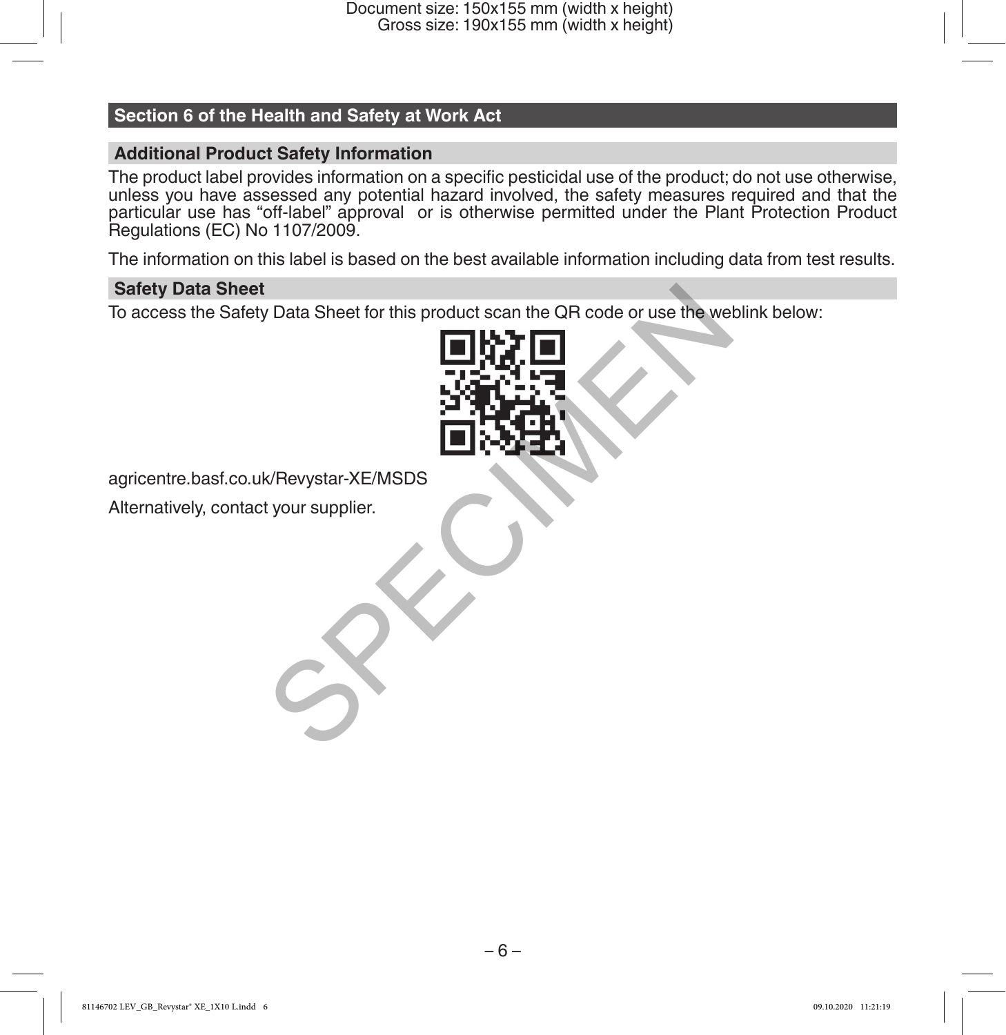Document size: 150x155 mm (width x height) Gross size: 190x155 mm (width x height)

#### **Section 6 of the Health and Safety at Work Act**

#### **Additional Product Safety Information**

The product label provides information on a specific pesticidal use of the product; do not use otherwise, unless you have assessed any potential hazard involved, the safety measures required and that the particular use has "off-label" approval or is otherwise permitted under the Plant Protection Product Regulations (EC) No 1107/2009.

The information on this label is based on the best available information including data from test results.

#### **Safety Data Sheet**

To access the Safety Data Sheet for this product scan the QR code or use the weblink below:



agricentre.basf.co.uk/Revystar-XE/MSDS

Alternatively, contact your supplier.